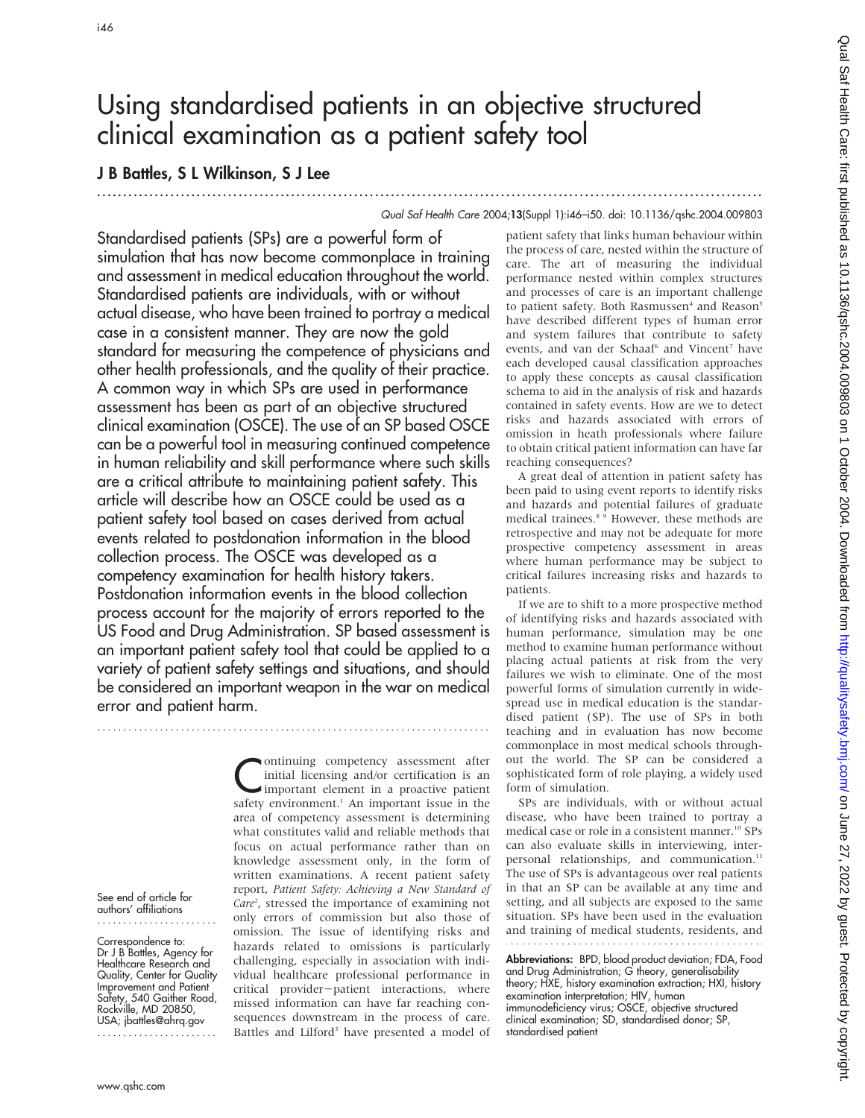i46

# Using standardised patients in an objective structured clinical examination as a patient safety tool

# J B Battles, S L Wilkinson, S J Lee ...............................................................................................................................

#### Qual Saf Health Care 2004;13(Suppl 1):i46–i50. doi: 10.1136/qshc.2004.009803

Standardised patients (SPs) are a powerful form of simulation that has now become commonplace in training and assessment in medical education throughout the world. Standardised patients are individuals, with or without actual disease, who have been trained to portray a medical case in a consistent manner. They are now the gold standard for measuring the competence of physicians and other health professionals, and the quality of their practice. A common way in which SPs are used in performance assessment has been as part of an objective structured clinical examination (OSCE). The use of an SP based OSCE can be a powerful tool in measuring continued competence in human reliability and skill performance where such skills are a critical attribute to maintaining patient safety. This article will describe how an OSCE could be used as a patient safety tool based on cases derived from actual events related to postdonation information in the blood collection process. The OSCE was developed as a competency examination for health history takers. Postdonation information events in the blood collection process account for the majority of errors reported to the US Food and Drug Administration. SP based assessment is an important patient safety tool that could be applied to a variety of patient safety settings and situations, and should be considered an important weapon in the war on medical error and patient harm.

...........................................................................

**C**ontinuing competency assessment after<br>initial licensing and/or certification is an<br>important element in a proactive patient initial licensing and/or certification is an safety environment.<sup>1</sup> An important issue in the area of competency assessment is determining what constitutes valid and reliable methods that focus on actual performance rather than on knowledge assessment only, in the form of written examinations. A recent patient safety report, Patient Safety: Achieving a New Standard of Care<sup>2</sup>, stressed the importance of examining not only errors of commission but also those of omission. The issue of identifying risks and hazards related to omissions is particularly challenging, especially in association with individual healthcare professional performance in critical provider-patient interactions, where missed information can have far reaching consequences downstream in the process of care. Battles and Lilford<sup>3</sup> have presented a model of patient safety that links human behaviour within the process of care, nested within the structure of care. The art of measuring the individual performance nested within complex structures and processes of care is an important challenge to patient safety. Both Rasmussen<sup>4</sup> and Reason<sup>5</sup> have described different types of human error and system failures that contribute to safety events, and van der Schaaf<sup>6</sup> and Vincent<sup>7</sup> have each developed causal classification approaches to apply these concepts as causal classification schema to aid in the analysis of risk and hazards contained in safety events. How are we to detect risks and hazards associated with errors of omission in heath professionals where failure to obtain critical patient information can have far reaching consequences?

A great deal of attention in patient safety has been paid to using event reports to identify risks and hazards and potential failures of graduate medical trainees.<sup>8</sup> 9 However, these methods are retrospective and may not be adequate for more prospective competency assessment in areas where human performance may be subject to critical failures increasing risks and hazards to patients.

If we are to shift to a more prospective method of identifying risks and hazards associated with human performance, simulation may be one method to examine human performance without placing actual patients at risk from the very failures we wish to eliminate. One of the most powerful forms of simulation currently in widespread use in medical education is the standardised patient (SP). The use of SPs in both teaching and in evaluation has now become commonplace in most medical schools throughout the world. The SP can be considered a sophisticated form of role playing, a widely used form of simulation.

SPs are individuals, with or without actual disease, who have been trained to portray a medical case or role in a consistent manner.<sup>10</sup> SPs can also evaluate skills in interviewing, interpersonal relationships, and communication.<sup>11</sup> The use of SPs is advantageous over real patients in that an SP can be available at any time and setting, and all subjects are exposed to the same situation. SPs have been used in the evaluation and training of medical students, residents, and

Abbreviations: BPD, blood product deviation; FDA, Food and Drug Administration; G theory, generalisability theory; HXE, history examination extraction; HXI, history examination interpretation; HIV, human immunodeficiency virus; OSCE, objective structured clinical examination; SD, standardised donor; SP, standardised patient

.......................

See end of article for authors' affiliations ....................... Correspondence to: Dr J B Battles, Agency for Healthcare Research and Quality, Center for Quality Improvement and Patient Safety, 540 Gaither Road, Rockville, MD 20850,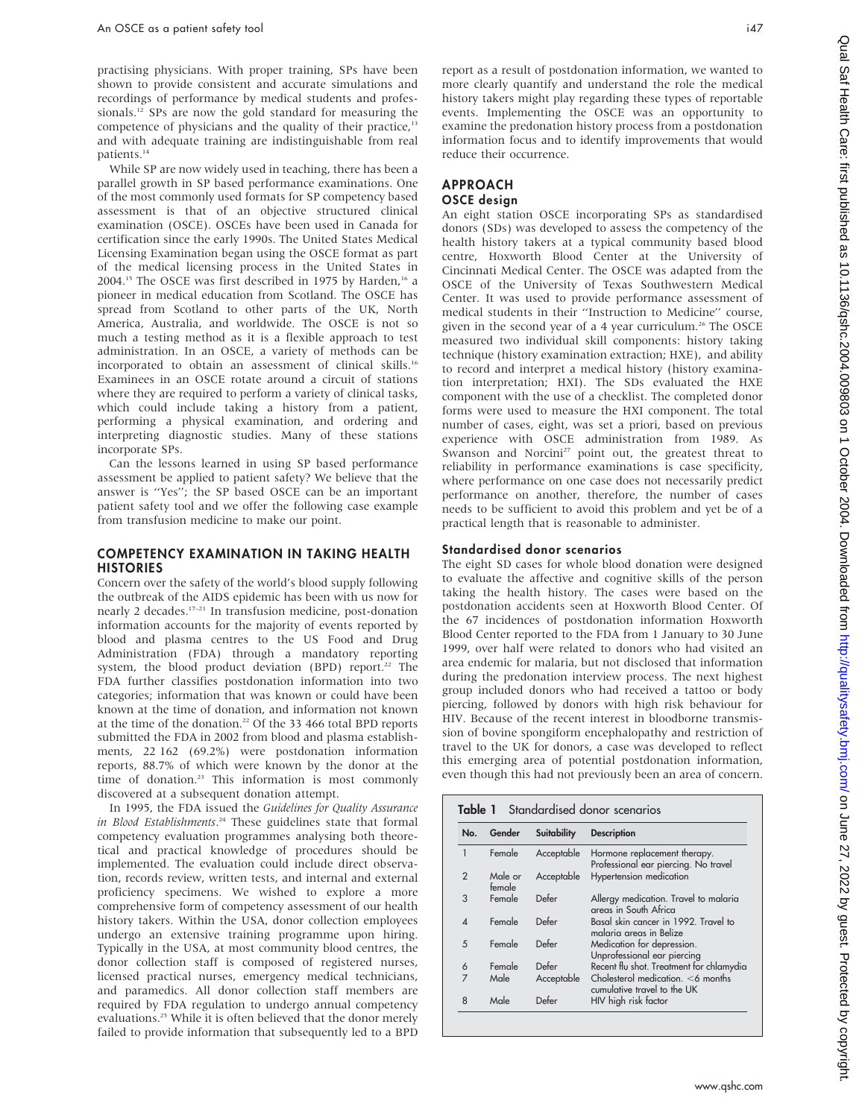practising physicians. With proper training, SPs have been shown to provide consistent and accurate simulations and recordings of performance by medical students and professionals.<sup>12</sup> SPs are now the gold standard for measuring the competence of physicians and the quality of their practice, $13$ and with adequate training are indistinguishable from real patients.<sup>14</sup>

While SP are now widely used in teaching, there has been a parallel growth in SP based performance examinations. One of the most commonly used formats for SP competency based assessment is that of an objective structured clinical examination (OSCE). OSCEs have been used in Canada for certification since the early 1990s. The United States Medical Licensing Examination began using the OSCE format as part of the medical licensing process in the United States in 2004.<sup>15</sup> The OSCE was first described in 1975 by Harden,<sup>16</sup> a pioneer in medical education from Scotland. The OSCE has spread from Scotland to other parts of the UK, North America, Australia, and worldwide. The OSCE is not so much a testing method as it is a flexible approach to test administration. In an OSCE, a variety of methods can be incorporated to obtain an assessment of clinical skills.<sup>16</sup> Examinees in an OSCE rotate around a circuit of stations where they are required to perform a variety of clinical tasks, which could include taking a history from a patient, performing a physical examination, and ordering and interpreting diagnostic studies. Many of these stations incorporate SPs.

Can the lessons learned in using SP based performance assessment be applied to patient safety? We believe that the answer is ''Yes''; the SP based OSCE can be an important patient safety tool and we offer the following case example from transfusion medicine to make our point.

### COMPETENCY EXAMINATION IN TAKING HEALTH **HISTORIES**

Concern over the safety of the world's blood supply following the outbreak of the AIDS epidemic has been with us now for nearly 2 decades.17–21 In transfusion medicine, post-donation information accounts for the majority of events reported by blood and plasma centres to the US Food and Drug Administration (FDA) through a mandatory reporting system, the blood product deviation (BPD) report.<sup>22</sup> The FDA further classifies postdonation information into two categories; information that was known or could have been known at the time of donation, and information not known at the time of the donation.<sup>22</sup> Of the 33 466 total BPD reports submitted the FDA in 2002 from blood and plasma establishments, 22 162 (69.2%) were postdonation information reports, 88.7% of which were known by the donor at the time of donation.<sup>23</sup> This information is most commonly discovered at a subsequent donation attempt.

In 1995, the FDA issued the Guidelines for Quality Assurance in Blood Establishments.<sup>24</sup> These guidelines state that formal competency evaluation programmes analysing both theoretical and practical knowledge of procedures should be implemented. The evaluation could include direct observation, records review, written tests, and internal and external proficiency specimens. We wished to explore a more comprehensive form of competency assessment of our health history takers. Within the USA, donor collection employees undergo an extensive training programme upon hiring. Typically in the USA, at most community blood centres, the donor collection staff is composed of registered nurses, licensed practical nurses, emergency medical technicians, and paramedics. All donor collection staff members are required by FDA regulation to undergo annual competency evaluations.<sup>25</sup> While it is often believed that the donor merely failed to provide information that subsequently led to a BPD report as a result of postdonation information, we wanted to more clearly quantify and understand the role the medical history takers might play regarding these types of reportable events. Implementing the OSCE was an opportunity to examine the predonation history process from a postdonation information focus and to identify improvements that would reduce their occurrence.

#### APPROACH OSCE design

An eight station OSCE incorporating SPs as standardised donors (SDs) was developed to assess the competency of the health history takers at a typical community based blood centre, Hoxworth Blood Center at the University of Cincinnati Medical Center. The OSCE was adapted from the OSCE of the University of Texas Southwestern Medical Center. It was used to provide performance assessment of medical students in their ''Instruction to Medicine'' course, given in the second year of a 4 year curriculum.<sup>26</sup> The OSCE measured two individual skill components: history taking technique (history examination extraction; HXE), and ability to record and interpret a medical history (history examination interpretation; HXI). The SDs evaluated the HXE component with the use of a checklist. The completed donor forms were used to measure the HXI component. The total number of cases, eight, was set a priori, based on previous experience with OSCE administration from 1989. As Swanson and Norcini<sup>27</sup> point out, the greatest threat to reliability in performance examinations is case specificity, where performance on one case does not necessarily predict performance on another, therefore, the number of cases needs to be sufficient to avoid this problem and yet be of a practical length that is reasonable to administer.

## Standardised donor scenarios

The eight SD cases for whole blood donation were designed to evaluate the affective and cognitive skills of the person taking the health history. The cases were based on the postdonation accidents seen at Hoxworth Blood Center. Of the 67 incidences of postdonation information Hoxworth Blood Center reported to the FDA from 1 January to 30 June 1999, over half were related to donors who had visited an area endemic for malaria, but not disclosed that information during the predonation interview process. The next highest group included donors who had received a tattoo or body piercing, followed by donors with high risk behaviour for HIV. Because of the recent interest in bloodborne transmission of bovine spongiform encephalopathy and restriction of travel to the UK for donors, a case was developed to reflect this emerging area of potential postdonation information, even though this had not previously been an area of concern.

| No.            | Gender            | Suitability | <b>Description</b>                                                   |
|----------------|-------------------|-------------|----------------------------------------------------------------------|
| 1              | Female            | Acceptable  | Hormone replacement therapy.<br>Professional ear piercing. No travel |
| $\overline{2}$ | Male or<br>female | Acceptable  | Hypertension medication                                              |
| 3              | Female            | Defer       | Allergy medication. Travel to malaria<br>greas in South Africa       |
| Δ              | Female            | Defer       | Basal skin cancer in 1992. Travel to<br>malaria areas in Belize      |
| 5              | Female            | Defer       | Medication for depression.<br>Unprofessional ear piercing            |
| 6              | Female            | Defer       | Recent flu shot. Treatment for chlamydia                             |
|                | Male              | Acceptable  | Cholesterol medication. <6 months<br>cumulative travel to the UK     |
| 8              | Male              | Defer       | HIV high risk factor                                                 |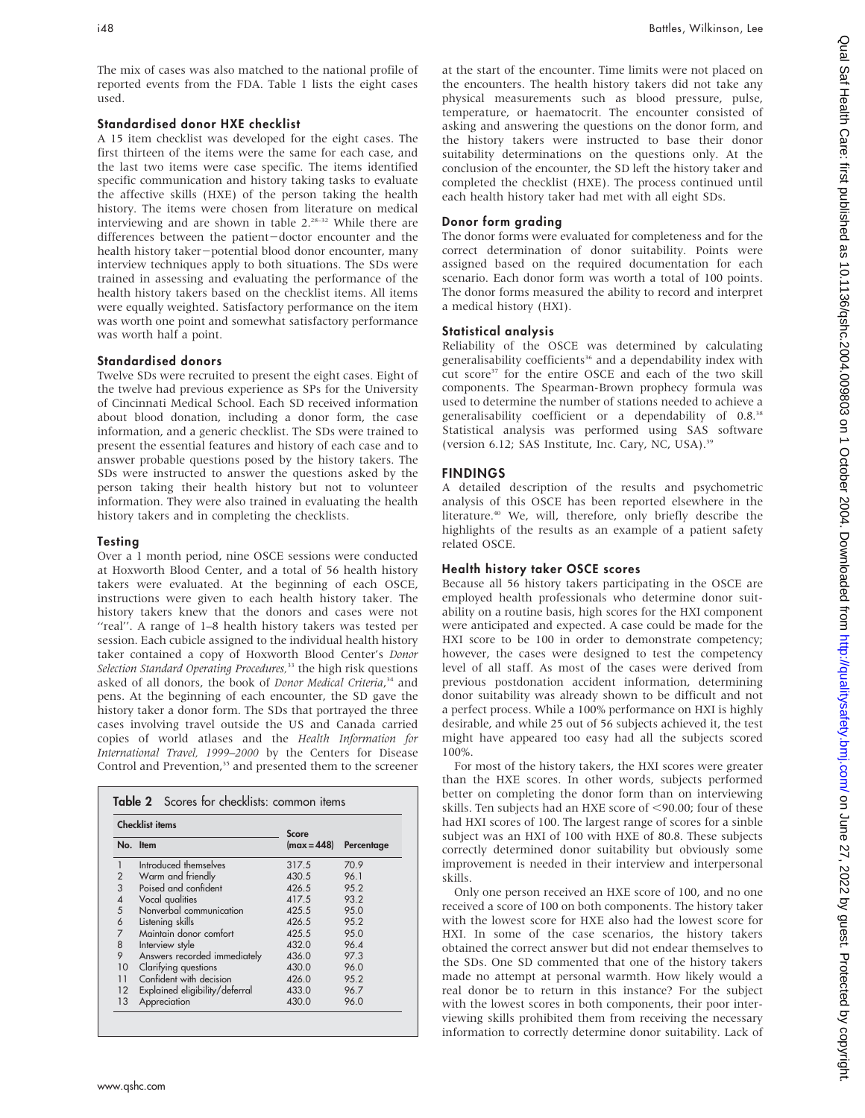The mix of cases was also matched to the national profile of reported events from the FDA. Table 1 lists the eight cases used.

## Standardised donor HXE checklist

A 15 item checklist was developed for the eight cases. The first thirteen of the items were the same for each case, and the last two items were case specific. The items identified specific communication and history taking tasks to evaluate the affective skills (HXE) of the person taking the health history. The items were chosen from literature on medical interviewing and are shown in table 2.28–32 While there are differences between the patient-doctor encounter and the health history taker-potential blood donor encounter, many interview techniques apply to both situations. The SDs were trained in assessing and evaluating the performance of the health history takers based on the checklist items. All items were equally weighted. Satisfactory performance on the item was worth one point and somewhat satisfactory performance was worth half a point.

## Standardised donors

Twelve SDs were recruited to present the eight cases. Eight of the twelve had previous experience as SPs for the University of Cincinnati Medical School. Each SD received information about blood donation, including a donor form, the case information, and a generic checklist. The SDs were trained to present the essential features and history of each case and to answer probable questions posed by the history takers. The SDs were instructed to answer the questions asked by the person taking their health history but not to volunteer information. They were also trained in evaluating the health history takers and in completing the checklists.

## Testing

Over a 1 month period, nine OSCE sessions were conducted at Hoxworth Blood Center, and a total of 56 health history takers were evaluated. At the beginning of each OSCE, instructions were given to each health history taker. The history takers knew that the donors and cases were not "real". A range of 1–8 health history takers was tested per session. Each cubicle assigned to the individual health history taker contained a copy of Hoxworth Blood Center's Donor Selection Standard Operating Procedures,<sup>33</sup> the high risk questions asked of all donors, the book of Donor Medical Criteria,<sup>34</sup> and pens. At the beginning of each encounter, the SD gave the history taker a donor form. The SDs that portrayed the three cases involving travel outside the US and Canada carried copies of world atlases and the Health Information for International Travel, 1999–2000 by the Centers for Disease Control and Prevention,<sup>35</sup> and presented them to the screener

|                | <b>Checklist items</b>         | Score                  |                    |
|----------------|--------------------------------|------------------------|--------------------|
|                | No. Item                       | $(max = 448)$<br>317.5 | Percentage<br>70.9 |
| 1              | Introduced themselves          |                        |                    |
| $\overline{2}$ | Warm and friendly              | 430.5                  | 96.1               |
| 3              | Poised and confident           | 426.5                  | 95.2               |
| 4              | Vocal qualities                | 417.5                  | 93.2               |
| 5              | Nonverbal communication        | 425.5                  | 95.0               |
| 6              | Listening skills               | 426.5                  | 95.2               |
| 7              | Maintain donor comfort         | 425.5                  | 95.0               |
| 8              | Interview style                | 432.0                  | 96.4               |
| 9              | Answers recorded immediately   | 436.0                  | 97.3               |
| 10             | Clarifying questions           | 430.0                  | 96.0               |
| 11             | Confident with decision        | 426.0                  | 95.2               |
| 12             | Explained eligibility/deferral | 433.0                  | 96.7               |
| 13             | Appreciation                   | 430.0                  | 96.0               |

at the start of the encounter. Time limits were not placed on the encounters. The health history takers did not take any physical measurements such as blood pressure, pulse, temperature, or haematocrit. The encounter consisted of asking and answering the questions on the donor form, and the history takers were instructed to base their donor suitability determinations on the questions only. At the conclusion of the encounter, the SD left the history taker and completed the checklist (HXE). The process continued until each health history taker had met with all eight SDs.

## Donor form grading

The donor forms were evaluated for completeness and for the correct determination of donor suitability. Points were assigned based on the required documentation for each scenario. Each donor form was worth a total of 100 points. The donor forms measured the ability to record and interpret a medical history (HXI).

## Statistical analysis

Reliability of the OSCE was determined by calculating generalisability coefficients<sup>36</sup> and a dependability index with cut score<sup>37</sup> for the entire OSCE and each of the two skill components. The Spearman-Brown prophecy formula was used to determine the number of stations needed to achieve a generalisability coefficient or a dependability of 0.8.<sup>38</sup> Statistical analysis was performed using SAS software (version 6.12; SAS Institute, Inc. Cary, NC, USA).39

## FINDINGS

A detailed description of the results and psychometric analysis of this OSCE has been reported elsewhere in the literature.<sup>40</sup> We, will, therefore, only briefly describe the highlights of the results as an example of a patient safety related OSCE.

## Health history taker OSCE scores

Because all 56 history takers participating in the OSCE are employed health professionals who determine donor suitability on a routine basis, high scores for the HXI component were anticipated and expected. A case could be made for the HXI score to be 100 in order to demonstrate competency; however, the cases were designed to test the competency level of all staff. As most of the cases were derived from previous postdonation accident information, determining donor suitability was already shown to be difficult and not a perfect process. While a 100% performance on HXI is highly desirable, and while 25 out of 56 subjects achieved it, the test might have appeared too easy had all the subjects scored 100%.

For most of the history takers, the HXI scores were greater than the HXE scores. In other words, subjects performed better on completing the donor form than on interviewing skills. Ten subjects had an HXE score of <90.00; four of these had HXI scores of 100. The largest range of scores for a sinble subject was an HXI of 100 with HXE of 80.8. These subjects correctly determined donor suitability but obviously some improvement is needed in their interview and interpersonal skills.

Only one person received an HXE score of 100, and no one received a score of 100 on both components. The history taker with the lowest score for HXE also had the lowest score for HXI. In some of the case scenarios, the history takers obtained the correct answer but did not endear themselves to the SDs. One SD commented that one of the history takers made no attempt at personal warmth. How likely would a real donor be to return in this instance? For the subject with the lowest scores in both components, their poor interviewing skills prohibited them from receiving the necessary information to correctly determine donor suitability. Lack of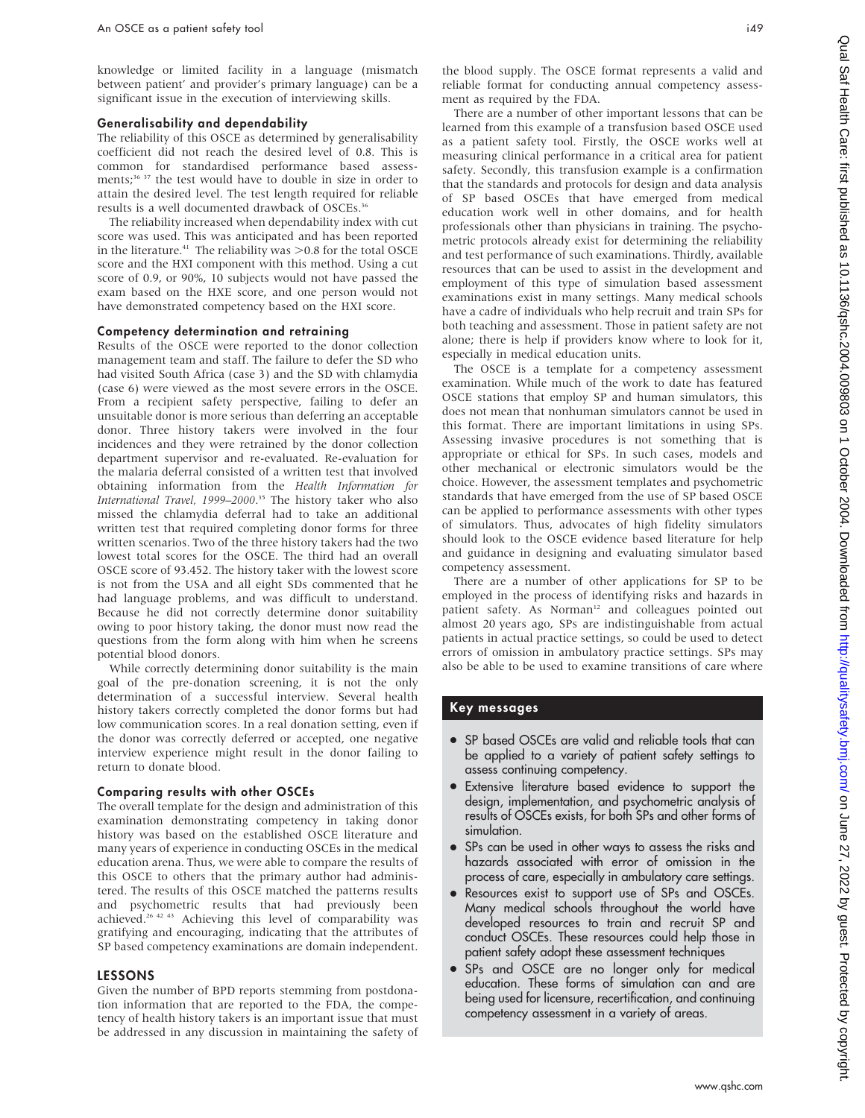knowledge or limited facility in a language (mismatch between patient' and provider's primary language) can be a significant issue in the execution of interviewing skills.

#### Generalisability and dependability

The reliability of this OSCE as determined by generalisability coefficient did not reach the desired level of 0.8. This is common for standardised performance based assessments;<sup>36</sup> <sup>37</sup> the test would have to double in size in order to attain the desired level. The test length required for reliable results is a well documented drawback of OSCEs.<sup>36</sup>

The reliability increased when dependability index with cut score was used. This was anticipated and has been reported in the literature.<sup>41</sup> The reliability was  $>$ 0.8 for the total OSCE score and the HXI component with this method. Using a cut score of 0.9, or 90%, 10 subjects would not have passed the exam based on the HXE score, and one person would not have demonstrated competency based on the HXI score.

#### Competency determination and retraining

Results of the OSCE were reported to the donor collection management team and staff. The failure to defer the SD who had visited South Africa (case 3) and the SD with chlamydia (case 6) were viewed as the most severe errors in the OSCE. From a recipient safety perspective, failing to defer an unsuitable donor is more serious than deferring an acceptable donor. Three history takers were involved in the four incidences and they were retrained by the donor collection department supervisor and re-evaluated. Re-evaluation for the malaria deferral consisted of a written test that involved obtaining information from the Health Information for International Travel, 1999-2000.<sup>35</sup> The history taker who also missed the chlamydia deferral had to take an additional written test that required completing donor forms for three written scenarios. Two of the three history takers had the two lowest total scores for the OSCE. The third had an overall OSCE score of 93.452. The history taker with the lowest score is not from the USA and all eight SDs commented that he had language problems, and was difficult to understand. Because he did not correctly determine donor suitability owing to poor history taking, the donor must now read the questions from the form along with him when he screens potential blood donors.

While correctly determining donor suitability is the main goal of the pre-donation screening, it is not the only determination of a successful interview. Several health history takers correctly completed the donor forms but had low communication scores. In a real donation setting, even if the donor was correctly deferred or accepted, one negative interview experience might result in the donor failing to return to donate blood.

#### Comparing results with other OSCEs

The overall template for the design and administration of this examination demonstrating competency in taking donor history was based on the established OSCE literature and many years of experience in conducting OSCEs in the medical education arena. Thus, we were able to compare the results of this OSCE to others that the primary author had administered. The results of this OSCE matched the patterns results and psychometric results that had previously been achieved.<sup>26 42 43</sup> Achieving this level of comparability was gratifying and encouraging, indicating that the attributes of SP based competency examinations are domain independent.

#### LESSONS

Given the number of BPD reports stemming from postdonation information that are reported to the FDA, the competency of health history takers is an important issue that must be addressed in any discussion in maintaining the safety of the blood supply. The OSCE format represents a valid and reliable format for conducting annual competency assessment as required by the FDA.

There are a number of other important lessons that can be learned from this example of a transfusion based OSCE used as a patient safety tool. Firstly, the OSCE works well at measuring clinical performance in a critical area for patient safety. Secondly, this transfusion example is a confirmation that the standards and protocols for design and data analysis of SP based OSCEs that have emerged from medical education work well in other domains, and for health professionals other than physicians in training. The psychometric protocols already exist for determining the reliability and test performance of such examinations. Thirdly, available resources that can be used to assist in the development and employment of this type of simulation based assessment examinations exist in many settings. Many medical schools have a cadre of individuals who help recruit and train SPs for both teaching and assessment. Those in patient safety are not alone; there is help if providers know where to look for it, especially in medical education units.

The OSCE is a template for a competency assessment examination. While much of the work to date has featured OSCE stations that employ SP and human simulators, this does not mean that nonhuman simulators cannot be used in this format. There are important limitations in using SPs. Assessing invasive procedures is not something that is appropriate or ethical for SPs. In such cases, models and other mechanical or electronic simulators would be the choice. However, the assessment templates and psychometric standards that have emerged from the use of SP based OSCE can be applied to performance assessments with other types of simulators. Thus, advocates of high fidelity simulators should look to the OSCE evidence based literature for help and guidance in designing and evaluating simulator based competency assessment.

There are a number of other applications for SP to be employed in the process of identifying risks and hazards in patient safety. As Norman<sup>12</sup> and colleagues pointed out almost 20 years ago, SPs are indistinguishable from actual patients in actual practice settings, so could be used to detect errors of omission in ambulatory practice settings. SPs may also be able to be used to examine transitions of care where

## Key messages

- SP based OSCEs are valid and reliable tools that can be applied to a variety of patient safety settings to assess continuing competency.
- Extensive literature based evidence to support the design, implementation, and psychometric analysis of results of OSCEs exists, for both SPs and other forms of simulation.
- SPs can be used in other ways to assess the risks and hazards associated with error of omission in the process of care, especially in ambulatory care settings.
- Resources exist to support use of SPs and OSCEs. Many medical schools throughout the world have developed resources to train and recruit SP and conduct OSCEs. These resources could help those in patient safety adopt these assessment techniques
- SPs and OSCE are no longer only for medical education. These forms of simulation can and are being used for licensure, recertification, and continuing competency assessment in a variety of areas.